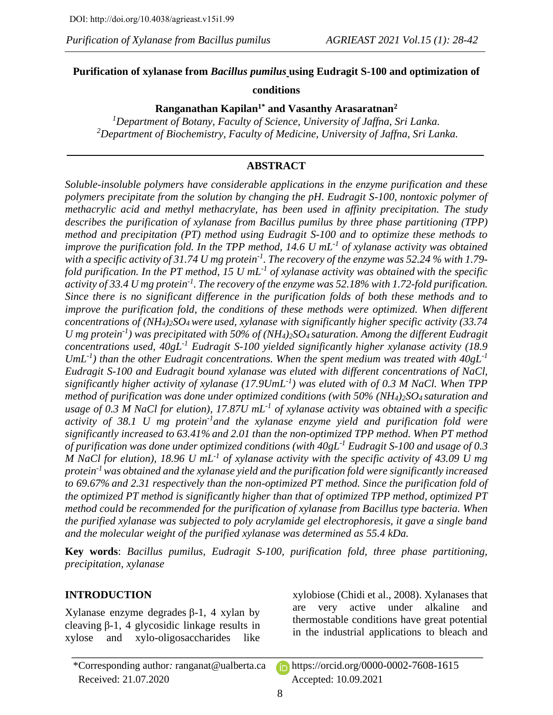# **Purification of xylanase from** *Bacillus pumilus* **using Eudragit S-100 and optimization of**

# **conditions**

**Ranganathan Kapilan1\* and Vasanthy Arasaratnan<sup>2</sup>**

*<sup>1</sup>Department of Botany, Faculty of Science, University of Jaffna, Sri Lanka. <sup>2</sup>Department of Biochemistry, Faculty of Medicine, University of Jaffna, Sri Lanka.*

# **ABSTRACT**

*Soluble-insoluble polymers have considerable applications in the enzyme purification and these polymers precipitate from the solution by changing the pH. Eudragit S-100, nontoxic polymer of methacrylic acid and methyl methacrylate, has been used in affinity precipitation. The study describes the purification of xylanase from Bacillus pumilus by three phase partitioning (TPP) method and precipitation (PT) method using Eudragit S-100 and to optimize these methods to improve the purification fold. In the TPP method, 14.6 U mL-1 of xylanase activity was obtained with a specific activity of 31.74 U mg protein-1 . The recovery of the enzyme was 52.24 % with 1.79 fold purification. In the PT method, 15 U mL-1 of xylanase activity was obtained with the specific activity of 33.4 U mg protein-1 . The recovery of the enzyme was 52.18% with 1.72-fold purification. Since there is no significant difference in the purification folds of both these methods and to improve the purification fold, the conditions of these methods were optimized. When different concentrations of (NH4)2SO4 were used, xylanase with significantly higher specific activity (33.74 U mg protein-1 ) was precipitated with 50% of (NH4)2SO4 saturation. Among the different Eudragit concentrations used, 40gL-1 Eudragit S-100 yielded significantly higher xylanase activity (18.9 UmL-1 ) than the other Eudragit concentrations. When the spent medium was treated with 40gL-1 Eudragit S-100 and Eudragit bound xylanase was eluted with different concentrations of NaCl, significantly higher activity of xylanase (17.9UmL-1 ) was eluted with of 0.3 M NaCl. When TPP method of purification was done under optimized conditions (with 50% (NH4)2SO4 saturation and usage of 0.3 M NaCl for elution), 17.87U mL-1 of xylanase activity was obtained with a specific activity of 38.1 U mg protein-1 and the xylanase enzyme yield and purification fold were significantly increased to 63.41% and 2.01 than the non-optimized TPP method. When PT method of purification was done under optimized conditions (with 40gL-1 Eudragit S-100 and usage of 0.3 M NaCl for elution), 18.96 U mL-1 of xylanase activity with the specific activity of 43.09 U mg protein-1 was obtained and the xylanase yield and the purification fold were significantly increased to 69.67% and 2.31 respectively than the non-optimized PT method. Since the purification fold of the optimized PT method is significantly higher than that of optimized TPP method, optimized PT method could be recommended for the purification of xylanase from Bacillus type bacteria. When the purified xylanase was subjected to poly acrylamide gel electrophoresis, it gave a single band and the molecular weight of the purified xylanase was determined as 55.4 kDa.*

**Key words**: *Bacillus pumilus, Eudragit S-100, purification fold, three phase partitioning, precipitation, xylanase*

# **INTRODUCTION**

Xylanase enzyme degrades β-1, 4 xylan by cleaving β-1, 4 glycosidic linkage results in xylose and xylo-oligosaccharides like xylobiose (Chidi et al., 2008). Xylanases that are very active under alkaline and thermostable conditions have great potential in the industrial applications to bleach and

<sup>\*</sup>Corresponding author*:* [ranganat@ualberta.ca](mailto:ranganat@ualberta.ca) https://orcid.org/0000-0002-7608-1615 Received: 21.07.2020 Accepted: 10.09.2021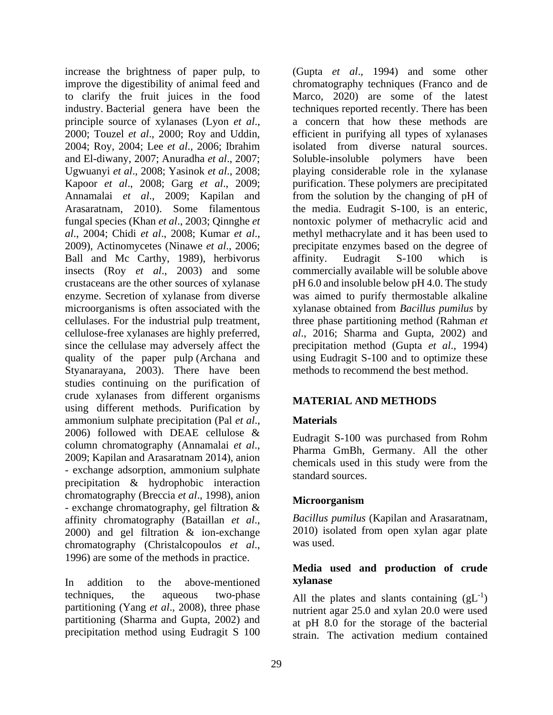increase the brightness of paper pulp, to improve the digestibility of animal feed and to clarify the fruit juices in the food industry. Bacterial genera have been the principle source of xylanases (Lyon *et al*., 2000; Touzel *et al*., 2000; Roy and Uddin, 2004; Roy, 2004; Lee *et al*., 2006; Ibrahim and El-diwany, 2007; Anuradha *et al*., 2007; Ugwuanyi *et al*., 2008; Yasinok *et al*., 2008; Kapoor *et al*., 2008; Garg *et al*., 2009; Annamalai *et al*., 2009; Kapilan and Arasaratnam, 2010). Some filamentous fungal species (Khan *et al*., 2003; Qinnghe *et al*., 2004; Chidi *et al*., 2008; Kumar *et al*., 2009), Actinomycetes (Ninawe *et al*., 2006; Ball and Mc Carthy, 1989), herbivorus insects (Roy *et al*., 2003) and some crustaceans are the other sources of xylanase enzyme. Secretion of xylanase from diverse microorganisms is often associated with the cellulases. For the industrial pulp treatment, cellulose-free xylanases are highly preferred, since the cellulase may adversely affect the quality of the paper pulp (Archana and Styanarayana, 2003). There have been studies continuing on the purification of crude xylanases from different organisms using different methods. Purification by ammonium sulphate precipitation (Pal *et al*., 2006) followed with DEAE cellulose & column chromatography (Annamalai *et al*., 2009; Kapilan and Arasaratnam 2014), anion - exchange adsorption, ammonium sulphate precipitation & hydrophobic interaction chromatography (Breccia *et al*., 1998), anion - exchange chromatography, gel filtration & affinity chromatography (Bataillan *et al*., 2000) and gel filtration & ion-exchange chromatography (Christalcopoulos *et al*., 1996) are some of the methods in practice.

In addition to the above-mentioned techniques, the aqueous two-phase partitioning (Yang *et al*., 2008), three phase partitioning (Sharma and Gupta, 2002) and precipitation method using Eudragit S 100 (Gupta *et al*., 1994) and some other chromatography techniques (Franco and de Marco, 2020) are some of the latest techniques reported recently. There has been a concern that how these methods are efficient in purifying all types of xylanases isolated from diverse natural sources. Soluble-insoluble polymers have been playing considerable role in the xylanase purification. These polymers are precipitated from the solution by the changing of pH of the media. Eudragit S-100, is an enteric, nontoxic polymer of methacrylic acid and methyl methacrylate and it has been used to precipitate enzymes based on the degree of affinity. Eudragit S-100 which is commercially available will be soluble above pH 6.0 and insoluble below pH 4.0. The study was aimed to purify thermostable alkaline xylanase obtained from *Bacillus pumilus* by three phase partitioning method (Rahman *et al*., 2016; Sharma and Gupta, 2002) and precipitation method (Gupta *et al*., 1994) using Eudragit S-100 and to optimize these methods to recommend the best method.

# **MATERIAL AND METHODS**

#### **Materials**

Eudragit S-100 was purchased from Rohm Pharma GmBh, Germany. All the other chemicals used in this study were from the standard sources.

#### **Microorganism**

*Bacillus pumilus* (Kapilan and Arasaratnam, 2010) isolated from open xylan agar plate was used.

# **Media used and production of crude xylanase**

All the plates and slants containing  $(gL^{-1})$ nutrient agar 25.0 and xylan 20.0 were used at pH 8.0 for the storage of the bacterial strain. The activation medium contained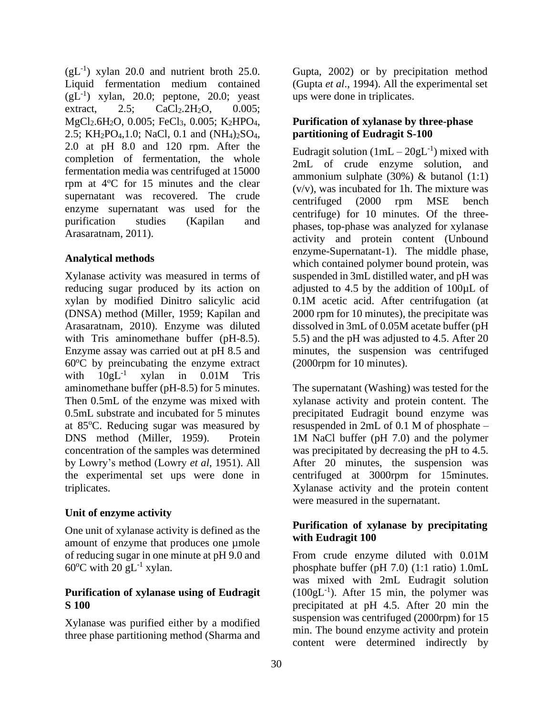$(gL^{-1})$  xylan 20.0 and nutrient broth 25.0. Liquid fermentation medium contained  $(gL^{-1})$  xylan, 20.0; peptone, 20.0; yeast extract, 2.5;  $CaCl<sub>2</sub>.2H<sub>2</sub>O$ , 0.005; MgCl<sub>2</sub>.6H<sub>2</sub>O, 0.005; FeCl<sub>3</sub>, 0.005; K<sub>2</sub>HPO<sub>4</sub>, 2.5; KH2PO4,1.0; NaCl, 0.1 and (NH4)2SO4, 2.0 at pH 8.0 and 120 rpm. After the completion of fermentation, the whole fermentation media was centrifuged at 15000 rpm at 4<sup>ο</sup>C for 15 minutes and the clear supernatant was recovered. The crude enzyme supernatant was used for the purification studies (Kapilan and Arasaratnam, 2011).

#### **Analytical methods**

Xylanase activity was measured in terms of reducing sugar produced by its action on xylan by modified Dinitro salicylic acid (DNSA) method (Miller, 1959; Kapilan and Arasaratnam, 2010). Enzyme was diluted with Tris aminomethane buffer (pH-8.5). Enzyme assay was carried out at pH 8.5 and  $60^{\circ}$ C by preincubating the enzyme extract with  $10gL^{-1}$ xylan in 0.01M Tris aminomethane buffer (pH-8.5) for 5 minutes. Then 0.5mL of the enzyme was mixed with 0.5mL substrate and incubated for 5 minutes at 85<sup>o</sup>C. Reducing sugar was measured by DNS method (Miller, 1959). Protein concentration of the samples was determined by Lowry's method (Lowry *et al*, 1951). All the experimental set ups were done in triplicates.

# **Unit of enzyme activity**

One unit of xylanase activity is defined as the amount of enzyme that produces one µmole of reducing sugar in one minute at pH 9.0 and  $60^{\circ}$ C with 20 gL<sup>-1</sup> xylan.

# **Purification of xylanase using of Eudragit S 100**

Xylanase was purified either by a modified three phase partitioning method (Sharma and Gupta, 2002) or by precipitation method (Gupta *et al*., 1994). All the experimental set ups were done in triplicates.

# **Purification of xylanase by three-phase partitioning of Eudragit S-100**

Eudragit solution  $(1mL - 20gL^{-1})$  mixed with 2mL of crude enzyme solution, and ammonium sulphate  $(30\%)$  & butanol  $(1:1)$ (v/v), was incubated for 1h. The mixture was centrifuged (2000 rpm MSE bench centrifuge) for 10 minutes. Of the threephases, top-phase was analyzed for xylanase activity and protein content (Unbound enzyme-Supernatant-1). The middle phase, which contained polymer bound protein, was suspended in 3mL distilled water, and pH was adjusted to 4.5 by the addition of 100µL of 0.1M acetic acid. After centrifugation (at 2000 rpm for 10 minutes), the precipitate was dissolved in 3mL of 0.05M acetate buffer (pH 5.5) and the pH was adjusted to 4.5. After 20 minutes, the suspension was centrifuged (2000rpm for 10 minutes).

The supernatant (Washing) was tested for the xylanase activity and protein content. The precipitated Eudragit bound enzyme was resuspended in 2mL of 0.1 M of phosphate – 1M NaCl buffer (pH 7.0) and the polymer was precipitated by decreasing the pH to 4.5. After 20 minutes, the suspension was centrifuged at 3000rpm for 15minutes. Xylanase activity and the protein content were measured in the supernatant.

# **Purification of xylanase by precipitating with Eudragit 100**

From crude enzyme diluted with 0.01M phosphate buffer (pH 7.0) (1:1 ratio) 1.0mL was mixed with 2mL Eudragit solution  $(100gL<sup>-1</sup>)$ . After 15 min, the polymer was precipitated at pH 4.5. After 20 min the suspension was centrifuged (2000rpm) for 15 min. The bound enzyme activity and protein content were determined indirectly by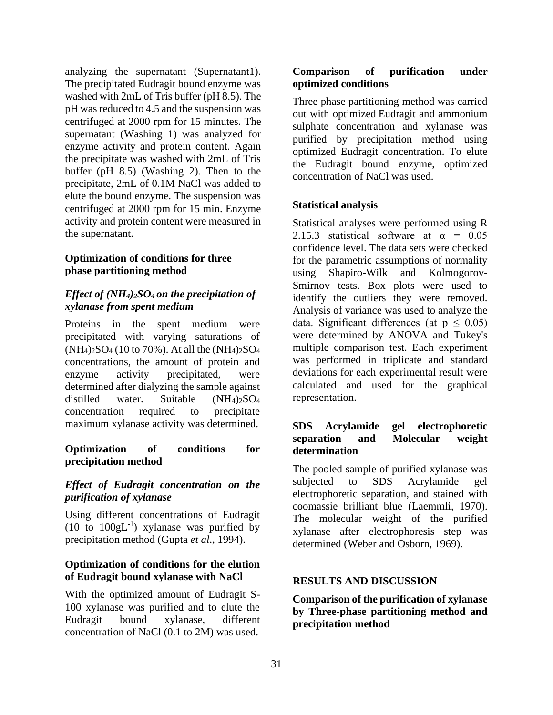analyzing the supernatant (Supernatant 1). The precipitated Eudragit bound enzyme was washed with 2mL of Tris buffer (pH 8.5). The pH was reduced to 4.5 and the suspension was centrifuged at 2000 rpm for 15 minutes. The supernatant (Washing 1) was analyzed for enzyme activity and protein content. Again the precipitate was washed with 2mL of Tris buffer (pH 8.5) (Washing 2). Then to the precipitate, 2mL of 0.1M NaCl was added to elute the bound enzyme. The suspension was centrifuged at 2000 rpm for 15 min. Enzyme activity and protein content were measured in the supernatant.

#### **Optimization of conditions for three phase partitioning method**

# *Effect of (NH4)2SO4 on the precipitation of xylanase from spent medium*

Proteins in the spent medium were precipitated with varying saturations of  $(NH_4)_2SO_4$  (10 to 70%). At all the  $(NH_4)_2SO_4$ concentrations, the amount of protein and enzyme activity precipitated, were determined after dialyzing the sample against distilled water. Suitable  $(NH_4)_{2}SO_4$ concentration required to precipitate maximum xylanase activity was determined.

# **Optimization of conditions for precipitation method**

# *Effect of Eudragit concentration on the purification of xylanase*

Using different concentrations of Eudragit (10 to  $100gL^{-1}$ ) xylanase was purified by precipitation method (Gupta *et al*., 1994).

#### **Optimization of conditions for the elution of Eudragit bound xylanase with NaCl**

With the optimized amount of Eudragit S-100 xylanase was purified and to elute the Eudragit bound xylanase, different concentration of NaCl (0.1 to 2M) was used.

#### **Comparison of purification under optimized conditions**

Three phase partitioning method was carried out with optimized Eudragit and ammonium sulphate concentration and xylanase was purified by precipitation method using optimized Eudragit concentration. To elute the Eudragit bound enzyme, optimized concentration of NaCl was used.

# **Statistical analysis**

Statistical analyses were performed using R 2.15.3 statistical software at  $\alpha = 0.05$ confidence level. The data sets were checked for the parametric assumptions of normality using Shapiro-Wilk and Kolmogorov-Smirnov tests. Box plots were used to identify the outliers they were removed. Analysis of variance was used to analyze the data. Significant differences (at  $p \leq 0.05$ ) were determined by ANOVA and Tukey's multiple comparison test. Each experiment was performed in triplicate and standard deviations for each experimental result were calculated and used for the graphical representation.

#### **SDS Acrylamide gel electrophoretic separation and Molecular weight determination**

The pooled sample of purified xylanase was subjected to SDS Acrylamide gel electrophoretic separation, and stained with coomassie brilliant blue (Laemmli, 1970). The molecular weight of the purified xylanase after electrophoresis step was determined (Weber and Osborn, 1969).

#### **RESULTS AND DISCUSSION**

#### **Comparison of the purification of xylanase by Three-phase partitioning method and precipitation method**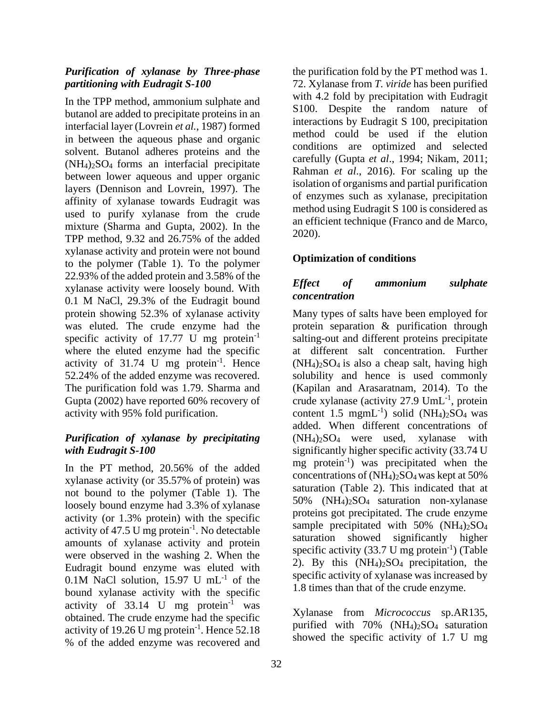#### *Purification of xylanase by Three-phase partitioning with Eudragit S-100*

In the TPP method, ammonium sulphate and butanol are added to precipitate proteins in an interfacial layer (Lovrein *et al.*, 1987) formed in between the aqueous phase and organic solvent. Butanol adheres proteins and the (NH4)2SO4 forms an interfacial precipitate between lower aqueous and upper organic layers (Dennison and Lovrein, 1997). The affinity of xylanase towards Eudragit was used to purify xylanase from the crude mixture (Sharma and Gupta, 2002). In the TPP method, 9.32 and 26.75% of the added xylanase activity and protein were not bound to the polymer (Table 1). To the polymer 22.93% of the added protein and 3.58% of the xylanase activity were loosely bound. With 0.1 M NaCl, 29.3% of the Eudragit bound protein showing 52.3% of xylanase activity was eluted. The crude enzyme had the specific activity of 17.77 U mg protein $^{-1}$ where the eluted enzyme had the specific activity of  $31.74$  U mg protein<sup>-1</sup>. Hence 52.24% of the added enzyme was recovered. The purification fold was 1.79. Sharma and Gupta (2002) have reported 60% recovery of activity with 95% fold purification.

# *Purification of xylanase by precipitating with Eudragit S-100*

In the PT method, 20.56% of the added xylanase activity (or 35.57% of protein) was not bound to the polymer (Table 1). The loosely bound enzyme had 3.3% of xylanase activity (or 1.3% protein) with the specific activity of 47.5 U mg protein $^{-1}$ . No detectable amounts of xylanase activity and protein were observed in the washing 2. When the Eudragit bound enzyme was eluted with 0.1M NaCl solution,  $15.97$  U mL<sup>-1</sup> of the bound xylanase activity with the specific activity of  $33.14$  U mg protein<sup>-1</sup> was obtained. The crude enzyme had the specific activity of 19.26 U mg protein $^{-1}$ . Hence 52.18 % of the added enzyme was recovered and

the purification fold by the PT method was 1. 72. Xylanase from *T. viride* has been purified with 4.2 fold by precipitation with Eudragit S100. Despite the random nature of interactions by Eudragit S 100, precipitation method could be used if the elution conditions are optimized and selected carefully (Gupta *et al*., 1994; Nikam, 2011; Rahman *et al*., 2016). For scaling up the isolation of organisms and partial purification of enzymes such as xylanase, precipitation method using Eudragit S 100 is considered as an efficient technique (Franco and de Marco, 2020).

# **Optimization of conditions**

# *Effect of ammonium sulphate concentration*

Many types of salts have been employed for protein separation & purification through salting-out and different proteins precipitate at different salt concentration. Further  $(NH_4)_2SO_4$  is also a cheap salt, having high solubility and hence is used commonly (Kapilan and Arasaratnam, 2014). To the crude xylanase (activity 27.9 UmL<sup>-1</sup>, protein content  $1.5 \text{ mmL}^{-1}$ ) solid (NH<sub>4</sub>)<sub>2</sub>SO<sub>4</sub> was added. When different concentrations of  $(NH_4)_2SO_4$  were used, xylanase with significantly higher specific activity (33.74 U mg protein<sup>-1</sup>) was precipitated when the concentrations of  $(NH_4)_2SO_4$  was kept at 50% saturation (Table 2). This indicated that at 50% (NH4)2SO4 saturation non-xylanase proteins got precipitated. The crude enzyme sample precipitated with  $50\%$  (NH<sub>4</sub>)<sub>2</sub>SO<sub>4</sub> saturation showed significantly higher specific activity  $(33.7 \text{ U mg protein}^{-1})$  (Table 2). By this  $(NH_4)_2SO_4$  precipitation, the specific activity of xylanase was increased by 1.8 times than that of the crude enzyme.

Xylanase from *Micrococcus* sp.AR135, purified with  $70\%$  (NH<sub>4</sub>)<sub>2</sub>SO<sub>4</sub> saturation showed the specific activity of 1.7 U mg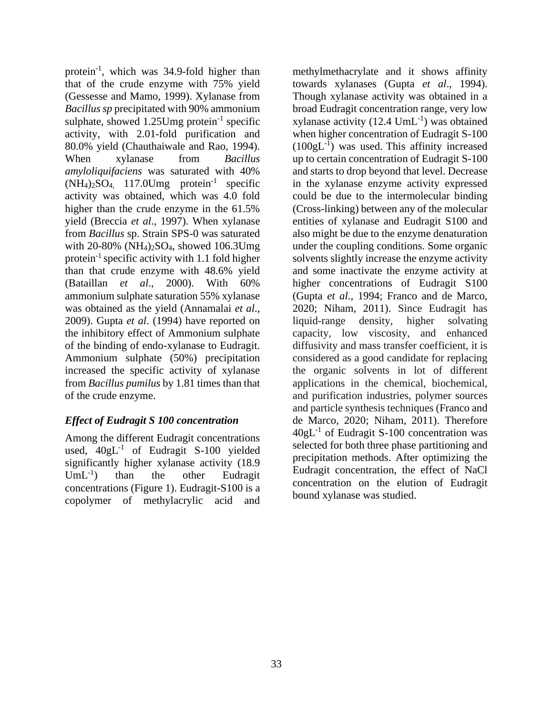protein<sup>-1</sup>, which was 34.9-fold higher than that of the crude enzyme with 75% yield (Gessesse and Mamo, 1999). Xylanase from *Bacillussp* precipitated with 90% ammonium sulphate, showed  $1.25$ Umg protein<sup>-1</sup> specific activity, with 2.01-fold purification and 80.0% yield (Chauthaiwale and Rao, 1994). When xylanase from *Bacillus amyloliquifaciens* was saturated with 40%  $(NH_4)_2SO_4$  117.0Umg protein<sup>-1</sup> specific activity was obtained, which was 4.0 fold higher than the crude enzyme in the 61.5% yield (Breccia *et al*., 1997). When xylanase from *Bacillus* sp. Strain SPS-0 was saturated with 20-80% (NH4)2SO4, showed 106.3Umg protein<sup>-1</sup> specific activity with 1.1 fold higher than that crude enzyme with 48.6% yield (Bataillan *et al*., 2000). With 60% ammonium sulphate saturation 55% xylanase was obtained as the yield (Annamalai *et al*., 2009). Gupta *et al*. (1994) have reported on the inhibitory effect of Ammonium sulphate of the binding of endo-xylanase to Eudragit. Ammonium sulphate (50%) precipitation increased the specific activity of xylanase from *Bacillus pumilus* by 1.81 times than that of the crude enzyme.

# *Effect of Eudragit S 100 concentration*

Among the different Eudragit concentrations used,  $40gL^{-1}$  of Eudragit S-100 yielded significantly higher xylanase activity (18.9  $UmL^{-1}$ ) ) than the other Eudragit concentrations (Figure 1). Eudragit-S100 is a copolymer of methylacrylic acid and

methylmethacrylate and it shows affinity towards xylanases (Gupta *et al*., 1994). Though xylanase activity was obtained in a broad Eudragit concentration range, very low xylanase activity  $(12.4 \text{ UmL}^{-1})$  was obtained when higher concentration of Eudragit S-100  $(100gL<sup>-1</sup>)$  was used. This affinity increased up to certain concentration of Eudragit S-100 and starts to drop beyond that level. Decrease in the xylanase enzyme activity expressed could be due to the intermolecular binding (Cross-linking) between any of the molecular entities of xylanase and Eudragit S100 and also might be due to the enzyme denaturation under the coupling conditions. Some organic solvents slightly increase the enzyme activity and some inactivate the enzyme activity at higher concentrations of Eudragit S100 (Gupta *et al*., 1994; Franco and de Marco, 2020; Niham, 2011). Since Eudragit has liquid-range density, higher solvating capacity, low viscosity, and enhanced diffusivity and mass transfer coefficient, it is considered as a good candidate for replacing the organic solvents in lot of different applications in the chemical, biochemical, and purification industries, polymer sources and particle synthesis techniques (Franco and de Marco, 2020; Niham, 2011). Therefore  $40gL^{-1}$  of Eudragit S-100 concentration was selected for both three phase partitioning and precipitation methods. After optimizing the Eudragit concentration, the effect of NaCl concentration on the elution of Eudragit bound xylanase was studied.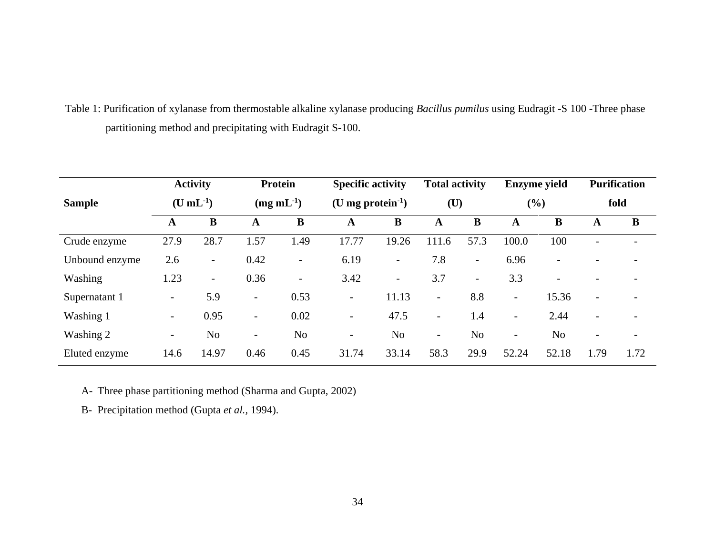Table 1: Purification of xylanase from thermostable alkaline xylanase producing *Bacillus pumilus* using Eudragit -S 100 -Three phase partitioning method and precipitating with Eudragit S-100.

|                | <b>Activity</b><br>$(U mL-1)$ |                          | <b>Protein</b><br>$(mg \, mL^{-1})$ |                          | <b>Specific activity</b><br>(U mg protein $^{-1}$ ) |                          | <b>Total activity</b><br>$(\mathbf{U})$ |                          | <b>Enzyme</b> yield<br>(%) |                          | <b>Purification</b><br>fold |                          |
|----------------|-------------------------------|--------------------------|-------------------------------------|--------------------------|-----------------------------------------------------|--------------------------|-----------------------------------------|--------------------------|----------------------------|--------------------------|-----------------------------|--------------------------|
| <b>Sample</b>  |                               |                          |                                     |                          |                                                     |                          |                                         |                          |                            |                          |                             |                          |
|                | A                             | B                        | A                                   | B                        | A                                                   | B                        | A                                       | B                        | A                          | B                        | A                           | B                        |
| Crude enzyme   | 27.9                          | 28.7                     | 1.57                                | 1.49                     | 17.77                                               | 19.26                    | 111.6                                   | 57.3                     | 100.0                      | 100                      | $\overline{\phantom{0}}$    | $\overline{\phantom{0}}$ |
| Unbound enzyme | 2.6                           | $\overline{\phantom{0}}$ | 0.42                                | $\overline{\phantom{0}}$ | 6.19                                                | $\overline{\phantom{0}}$ | 7.8                                     | $\overline{\phantom{0}}$ | 6.96                       | $\overline{\phantom{a}}$ |                             |                          |
| Washing        | 1.23                          | $\blacksquare$           | 0.36                                | $\overline{\phantom{a}}$ | 3.42                                                | $\overline{\phantom{0}}$ | 3.7                                     | $\overline{\phantom{0}}$ | 3.3                        | $\overline{\phantom{a}}$ |                             | -                        |
| Supernatant 1  | $\overline{\phantom{a}}$      | 5.9                      | $\overline{\phantom{a}}$            | 0.53                     | $\overline{\phantom{a}}$                            | 11.13                    | $\overline{\phantom{a}}$                | 8.8                      | $\overline{\phantom{0}}$   | 15.36                    | $\overline{\phantom{a}}$    | $\overline{\phantom{a}}$ |
| Washing 1      | $\overline{\phantom{a}}$      | 0.95                     | $\overline{\phantom{a}}$            | 0.02                     | $\overline{\phantom{0}}$                            | 47.5                     | $\overline{\phantom{a}}$                | 1.4                      | $\overline{\phantom{a}}$   | 2.44                     | $\overline{\phantom{a}}$    | -                        |
| Washing 2      | $\overline{\phantom{0}}$      | N <sub>o</sub>           | $\overline{\phantom{a}}$            | N <sub>o</sub>           | $\overline{\phantom{0}}$                            | N <sub>o</sub>           | $\overline{\phantom{a}}$                | N <sub>o</sub>           | $\overline{\phantom{0}}$   | N <sub>o</sub>           | $\overline{\phantom{0}}$    | $\overline{\phantom{0}}$ |
| Eluted enzyme  | 14.6                          | 14.97                    | 0.46                                | 0.45                     | 31.74                                               | 33.14                    | 58.3                                    | 29.9                     | 52.24                      | 52.18                    | 1.79                        | 1.72                     |

A- Three phase partitioning method (Sharma and Gupta, 2002)

B- Precipitation method (Gupta *et al.,* 1994).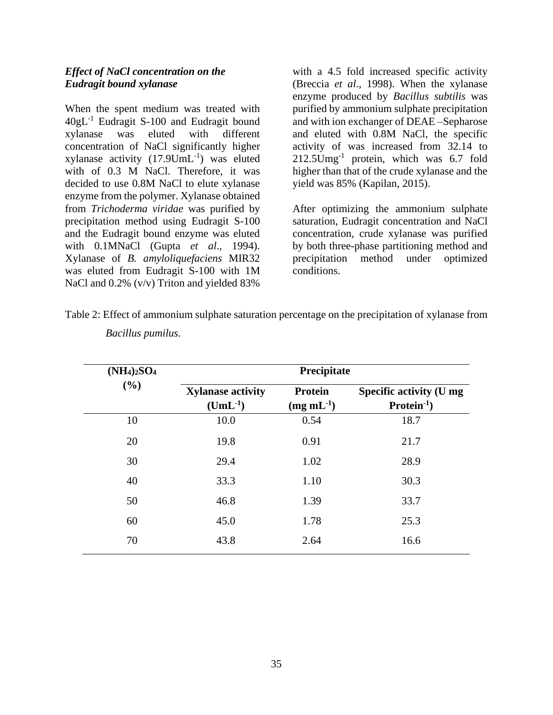#### *Effect of NaCl concentration on the Eudragit bound xylanase*

When the spent medium was treated with 40gL-1 Eudragit S-100 and Eudragit bound xylanase was eluted with different concentration of NaCl significantly higher xylanase activity  $(17.9$ UmL<sup>-1</sup>) was eluted with of 0.3 M NaCl. Therefore, it was decided to use 0.8M NaCl to elute xylanase enzyme from the polymer. Xylanase obtained from *Trichoderma viridae* was purified by precipitation method using Eudragit S-100 and the Eudragit bound enzyme was eluted with 0.1MNaCl (Gupta *et al*., 1994). Xylanase of *B. amyloliquefaciens* MIR32 was eluted from Eudragit S-100 with 1M NaCl and 0.2% (v/v) Triton and yielded 83%

with a 4.5 fold increased specific activity (Breccia *et al*., 1998). When the xylanase enzyme produced by *Bacillus subtilis* was purified by ammonium sulphate precipitation and with ion exchanger of DEAE –Sepharose and eluted with 0.8M NaCl, the specific activity of was increased from 32.14 to 212.5Umg-1 protein, which was 6.7 fold higher than that of the crude xylanase and the yield was 85% (Kapilan, 2015).

After optimizing the ammonium sulphate saturation, Eudragit concentration and NaCl concentration, crude xylanase was purified by both three-phase partitioning method and precipitation method under optimized conditions.

| $(NH_4)_2SO_4$ | Precipitate                                       |                                     |                                               |  |  |  |  |  |  |
|----------------|---------------------------------------------------|-------------------------------------|-----------------------------------------------|--|--|--|--|--|--|
| (%)            | <b>Xylanase activity</b><br>$(\mathbf{UmL^{-1}})$ | <b>Protein</b><br>$(mg \, mL^{-1})$ | <b>Specific activity (U mg</b><br>$Protein-1$ |  |  |  |  |  |  |
| 10             | 10.0                                              | 0.54                                | 18.7                                          |  |  |  |  |  |  |
| 20             | 19.8                                              | 0.91                                | 21.7                                          |  |  |  |  |  |  |
| 30             | 29.4                                              | 1.02                                | 28.9                                          |  |  |  |  |  |  |
| 40             | 33.3                                              | 1.10                                | 30.3                                          |  |  |  |  |  |  |
| 50             | 46.8                                              | 1.39                                | 33.7                                          |  |  |  |  |  |  |
| 60             | 45.0                                              | 1.78                                | 25.3                                          |  |  |  |  |  |  |
| 70             | 43.8                                              | 2.64                                | 16.6                                          |  |  |  |  |  |  |

Table 2: Effect of ammonium sulphate saturation percentage on the precipitation of xylanase from *Bacillus pumilus.*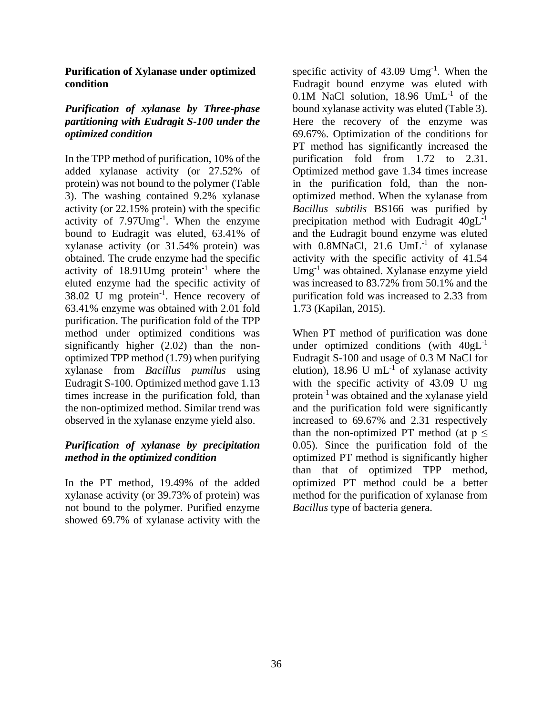#### **Purification of Xylanase under optimized condition**

# *Purification of xylanase by Three-phase partitioning with Eudragit S-100 under the optimized condition*

In the TPP method of purification, 10% of the added xylanase activity (or 27.52% of protein) was not bound to the polymer (Table 3). The washing contained 9.2% xylanase activity (or 22.15% protein) with the specific activity of 7.97Umg<sup>-1</sup>. When the enzyme bound to Eudragit was eluted, 63.41% of xylanase activity (or 31.54% protein) was obtained. The crude enzyme had the specific activity of  $18.91$ Umg protein<sup>-1</sup> where the eluted enzyme had the specific activity of  $38.02$  U mg protein<sup>-1</sup>. Hence recovery of 63.41% enzyme was obtained with 2.01 fold purification. The purification fold of the TPP method under optimized conditions was significantly higher (2.02) than the nonoptimized TPP method (1.79) when purifying xylanase from *Bacillus pumilus* using Eudragit S-100. Optimized method gave 1.13 times increase in the purification fold, than the non-optimized method. Similar trend was observed in the xylanase enzyme yield also.

# *Purification of xylanase by precipitation method in the optimized condition*

In the PT method, 19.49% of the added xylanase activity (or 39.73% of protein) was not bound to the polymer. Purified enzyme showed 69.7% of xylanase activity with the

specific activity of  $43.09$  Umg<sup>-1</sup>. When the Eudragit bound enzyme was eluted with 0.1M NaCl solution, 18.96 UmL<sup>-1</sup> of the bound xylanase activity was eluted (Table 3). Here the recovery of the enzyme was 69.67%. Optimization of the conditions for PT method has significantly increased the purification fold from 1.72 to 2.31. Optimized method gave 1.34 times increase in the purification fold, than the nonoptimized method. When the xylanase from *Bacillus subtilis* BS166 was purified by precipitation method with Eudragit  $40gL^{-1}$ and the Eudragit bound enzyme was eluted with  $0.8$ MNaCl,  $21.6$  UmL<sup>-1</sup> of xylanase activity with the specific activity of 41.54 Umg-1 was obtained. Xylanase enzyme yield was increased to 83.72% from 50.1% and the purification fold was increased to 2.33 from 1.73 (Kapilan, 2015).

When PT method of purification was done under optimized conditions (with  $40gL^{-1}$ Eudragit S-100 and usage of 0.3 M NaCl for elution), 18.96 U mL $^{-1}$  of xylanase activity with the specific activity of 43.09 U mg protein-1 was obtained and the xylanase yield and the purification fold were significantly increased to 69.67% and 2.31 respectively than the non-optimized PT method (at  $p \le$ 0.05). Since the purification fold of the optimized PT method is significantly higher than that of optimized TPP method, optimized PT method could be a better method for the purification of xylanase from *Bacillus* type of bacteria genera.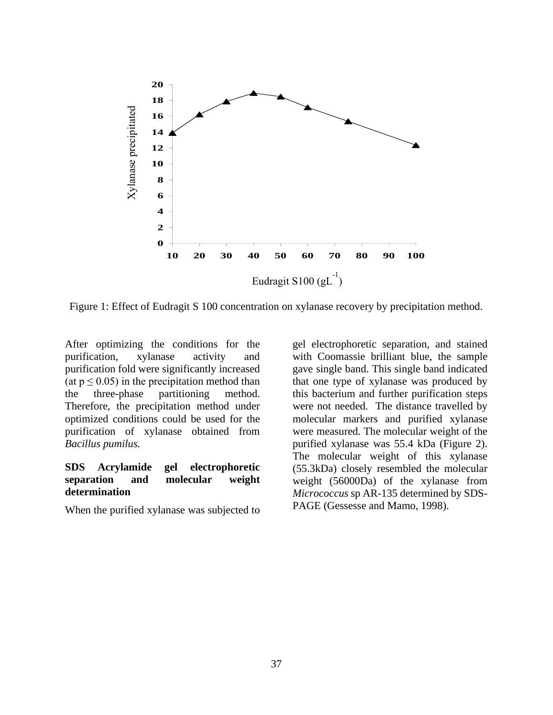

Figure 1: Effect of Eudragit S 100 concentration on xylanase recovery by precipitation method.

After optimizing the conditions for the purification, xylanase activity and purification fold were significantly increased (at  $p \le 0.05$ ) in the precipitation method than the three-phase partitioning method. Therefore, the precipitation method under optimized conditions could be used for the purification of xylanase obtained from *Bacillus pumilus.*

#### **SDS Acrylamide gel electrophoretic separation and molecular weight determination**

When the purified xylanase was subjected to

gel electrophoretic separation, and stained with Coomassie brilliant blue, the sample gave single band. This single band indicated that one type of xylanase was produced by this bacterium and further purification steps were not needed. The distance travelled by molecular markers and purified xylanase were measured. The molecular weight of the purified xylanase was 55.4 kDa (Figure 2). The molecular weight of this xylanase (55.3kDa) closely resembled the molecular weight (56000Da) of the xylanase from *Micrococcus* sp AR-135 determined by SDS-PAGE (Gessesse and Mamo, 1998).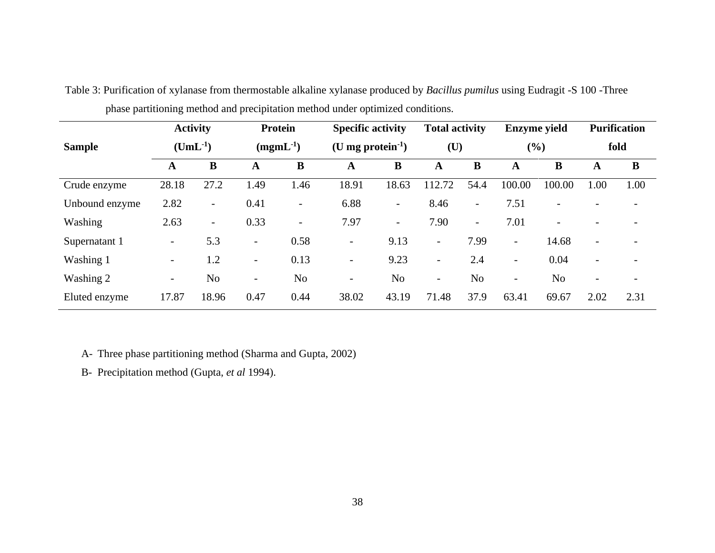|                | <b>Activity</b><br>$(UmL^{-1})$ |                          | Protein<br>$(mgmL^{-1})$ |                          | <b>Specific activity</b><br>(U mg protein $^{-1}$ ) |                          | <b>Total activity</b><br>$(\mathbf{U})$ |                          | <b>Enzyme</b> yield<br>(%) |                | <b>Purification</b><br>fold |                          |
|----------------|---------------------------------|--------------------------|--------------------------|--------------------------|-----------------------------------------------------|--------------------------|-----------------------------------------|--------------------------|----------------------------|----------------|-----------------------------|--------------------------|
| <b>Sample</b>  |                                 |                          |                          |                          |                                                     |                          |                                         |                          |                            |                |                             |                          |
|                | A                               | $\bf{B}$                 | A                        | B                        | A                                                   | B                        | A                                       | B                        | A                          | B              | A                           | B                        |
| Crude enzyme   | 28.18                           | 27.2                     | 1.49                     | 1.46                     | 18.91                                               | 18.63                    | 112.72                                  | 54.4                     | 100.00                     | 100.00         | 1.00                        | 1.00                     |
| Unbound enzyme | 2.82                            | $\overline{\phantom{0}}$ | 0.41                     | $\overline{a}$           | 6.88                                                | $\overline{\phantom{a}}$ | 8.46                                    | $\overline{\phantom{a}}$ | 7.51                       | $\overline{a}$ |                             |                          |
| Washing        | 2.63                            | $\overline{\phantom{0}}$ | 0.33                     | $\overline{\phantom{0}}$ | 7.97                                                | $\overline{\phantom{a}}$ | 7.90                                    | $\overline{\phantom{0}}$ | 7.01                       | $\overline{a}$ | $\overline{\phantom{a}}$    | $\overline{\phantom{0}}$ |
| Supernatant 1  | $\overline{\phantom{a}}$        | 5.3                      | $\overline{\phantom{a}}$ | 0.58                     | $\overline{\phantom{a}}$                            | 9.13                     | $\overline{\phantom{a}}$                | 7.99                     | $\overline{\phantom{a}}$   | 14.68          | $\overline{\phantom{a}}$    |                          |
| Washing 1      | $\overline{\phantom{a}}$        | 1.2                      | $\overline{\phantom{a}}$ | 0.13                     | $\overline{\phantom{a}}$                            | 9.23                     | $\overline{\phantom{a}}$                | 2.4                      | $\overline{\phantom{a}}$   | 0.04           | $\overline{\phantom{a}}$    | $\qquad \qquad$          |
| Washing 2      | $\overline{\phantom{a}}$        | N <sub>o</sub>           | $\overline{\phantom{a}}$ | N <sub>o</sub>           | $\overline{\phantom{a}}$                            | N <sub>o</sub>           | $\overline{\phantom{a}}$                | N <sub>o</sub>           | $\overline{\phantom{a}}$   | N <sub>o</sub> | $\overline{\phantom{a}}$    |                          |
| Eluted enzyme  | 17.87                           | 18.96                    | 0.47                     | 0.44                     | 38.02                                               | 43.19                    | 71.48                                   | 37.9                     | 63.41                      | 69.67          | 2.02                        | 2.31                     |

Table 3: Purification of xylanase from thermostable alkaline xylanase produced by *Bacillus pumilus* using Eudragit -S 100 -Three phase partitioning method and precipitation method under optimized conditions.

A- Three phase partitioning method (Sharma and Gupta, 2002)

B- Precipitation method (Gupta, *et al* 1994).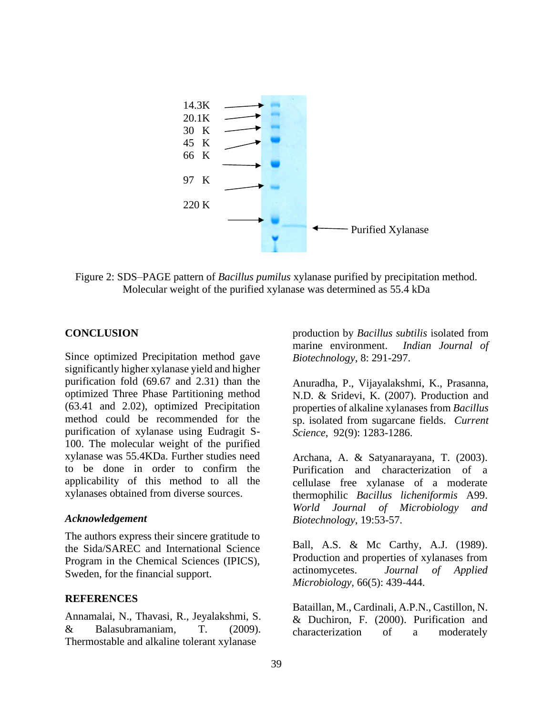

Figure 2: SDS–PAGE pattern of *Bacillus pumilus* xylanase purified by precipitation method. Molecular weight of the purified xylanase was determined as 55.4 kDa

#### **CONCLUSION**

Since optimized Precipitation method gave significantly higher xylanase yield and higher purification fold (69.67 and 2.31) than the optimized Three Phase Partitioning method (63.41 and 2.02), optimized Precipitation method could be recommended for the purification of xylanase using Eudragit S-100. The molecular weight of the purified xylanase was 55.4KDa. Further studies need to be done in order to confirm the applicability of this method to all the xylanases obtained from diverse sources.

#### *Acknowledgement*

The authors express their sincere gratitude to the Sida/SAREC and International Science Program in the Chemical Sciences (IPICS), Sweden, for the financial support.

#### **REFERENCES**

Annamalai, N., Thavasi, R., Jeyalakshmi, S. & Balasubramaniam, T. (2009). Thermostable and alkaline tolerant xylanase

production by *Bacillus subtilis* isolated from marine environment. *Indian Journal of Biotechnology*, 8: 291-297.

Anuradha, P., Vijayalakshmi, K., Prasanna, N.D. & Sridevi, K. (2007). Production and properties of alkaline xylanases from *Bacillus* sp. isolated from sugarcane fields. *Current Science*, 92(9): 1283-1286.

Archana, A. & Satyanarayana, T. (2003). Purification and characterization of a cellulase free xylanase of a moderate thermophilic *Bacillus licheniformis* A99. *World Journal of Microbiology and Biotechnology*, 19:53-57.

Ball, A.S. & Mc Carthy, A.J. (1989). Production and properties of xylanases from actinomycetes. *Journal of Applied Microbiology*, 66(5): 439-444.

Bataillan, M., Cardinali, A.P.N., Castillon, N. & Duchiron, F. (2000). Purification and characterization of a moderately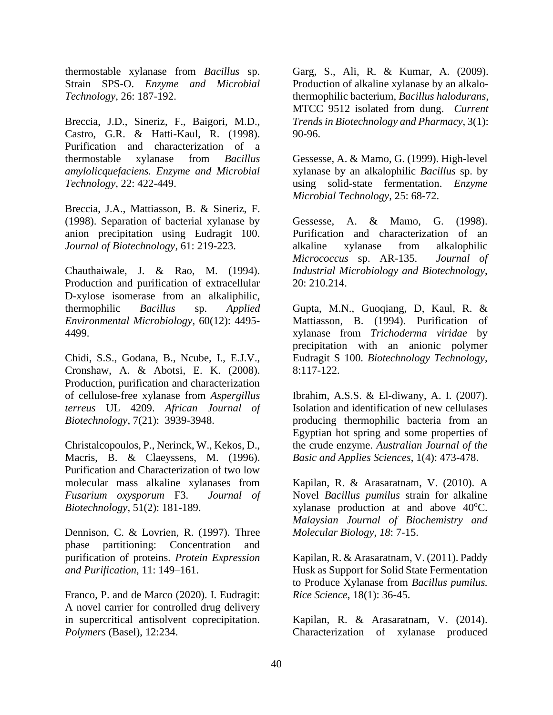thermostable xylanase from *Bacillus* sp. Strain SPS-O. *Enzyme and Microbial Technology*, 26: 187-192.

Breccia, J.D., Sineriz, F., Baigori, M.D., Castro, G.R. & Hatti-Kaul, R. (1998). Purification and characterization of a thermostable xylanase from *Bacillus amylolicquefaciens. Enzyme and Microbial Technology*, 22: 422-449.

Breccia, J.A., Mattiasson, B. & Sineriz, F. (1998). Separation of bacterial xylanase by anion precipitation using Eudragit 100. *Journal of Biotechnology*, 61: 219-223.

Chauthaiwale, J. & Rao, M. (1994). Production and purification of extracellular D-xylose isomerase from an alkaliphilic, thermophilic *Bacillus* sp. *Applied Environmental Microbiology*, 60(12): 4495- 4499.

Chidi, S.S., Godana, B., Ncube, I., E.J.V., Cronshaw, A. & Abotsi, E. K. (2008). Production, purification and characterization of cellulose-free xylanase from *Aspergillus terreus* UL 4209. *African Journal of Biotechnology*, 7(21): 3939-3948.

Christalcopoulos, P., Nerinck, W., Kekos, D., Macris, B. & Claeyssens, M. (1996). Purification and Characterization of two low molecular mass alkaline xylanases from *Fusarium oxysporum* F3. *Journal of Biotechnology*, 51(2): 181-189.

Dennison, C. & Lovrien, R. (1997). Three phase partitioning: Concentration and purification of proteins. *Protein Expression and Purification*, 11: 149–161.

Franco, P. and de Marco (2020). I. Eudragit: A novel carrier for controlled drug delivery in supercritical antisolvent coprecipitation. *Polymers* (Basel), 12:234.

Garg, S., Ali, R. & Kumar, A. (2009). Production of alkaline xylanase by an alkalothermophilic bacterium, *Bacillus halodurans*, MTCC 9512 isolated from dung. *Current Trends in Biotechnology and Pharmacy*, 3(1): 90-96.

Gessesse, A. & Mamo, G. (1999). High-level xylanase by an alkalophilic *Bacillus* sp. by using solid-state fermentation. *Enzyme Microbial Technology*, 25: 68-72.

Gessesse, A. & Mamo, G. (1998). Purification and characterization of an alkaline xylanase from alkalophilic *Micrococcus* sp. AR-135. *Journal of Industrial Microbiology and Biotechnology*, 20: 210.214.

Gupta, M.N., Guoqiang, D, Kaul, R. & Mattiasson, B. (1994). Purification of xylanase from *Trichoderma viridae* by precipitation with an anionic polymer Eudragit S 100. *Biotechnology Technology*, 8:117-122.

Ibrahim, A.S.S. & El-diwany, A. I. (2007). Isolation and identification of new cellulases producing thermophilic bacteria from an Egyptian hot spring and some properties of the crude enzyme. *Australian Journal of the Basic and Applies Sciences*, 1(4): 473-478.

Kapilan, R. & Arasaratnam, V. (2010). A Novel *Bacillus pumilus* strain for alkaline xylanase production at and above  $40^{\circ}$ C. *Malaysian Journal of Biochemistry and Molecular Biology*, *18*: 7-15.

Kapilan, R. & Arasaratnam, V. (2011). Paddy Husk as Support for Solid State Fermentation to Produce Xylanase from *Bacillus pumilus. Rice Science*, 18(1): 36-45.

Kapilan, R. & Arasaratnam, V. (2014). Characterization of xylanase produced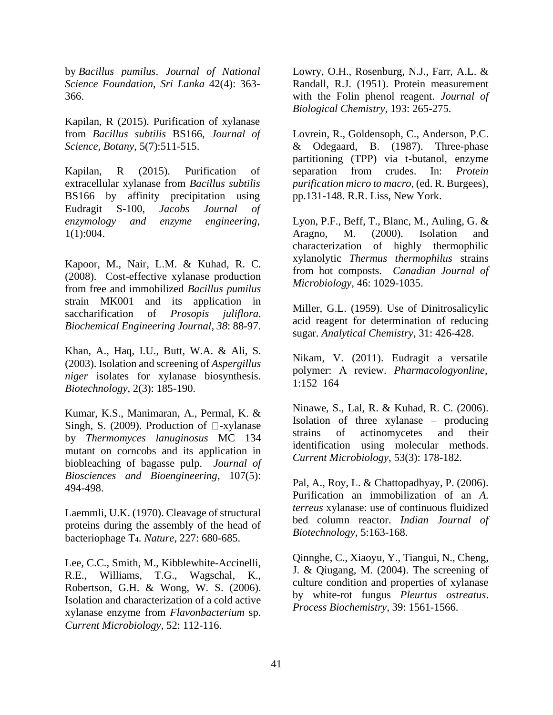by *Bacillus pumilus*. *Journal of National Science Foundation*, *Sri Lanka* 42(4): 363- 366.

Kapilan, R (2015). Purification of xylanase from *Bacillus subtilis* BS166, *Journal of Science, Botany*, 5(7):511-515.

Kapilan, R (2015). Purification of extracellular xylanase from *Bacillus subtilis* BS166 by affinity precipitation using Eudragit S-100, *Jacobs Journal of enzymology and enzyme engineering*, 1(1):004.

Kapoor, M., Nair, L.M. & Kuhad, R. C. (2008). Cost-effective xylanase production from free and immobilized *Bacillus pumilus* strain MK001 and its application in saccharification of *Prosopis juliflora*. *Biochemical Engineering Journal, 38*: 88-97.

Khan, A., Haq, I.U., Butt, W.A. & Ali, S. (2003). Isolation and screening of *Aspergillus niger* isolates for xylanase biosynthesis. *Biotechnology*, 2(3): 185-190.

Kumar, K.S., Manimaran, A., Permal, K. & Singh, S. (2009). Production of  $\Box$ -xylanase by *Thermomyces lanuginosus* MC 134 mutant on corncobs and its application in biobleaching of bagasse pulp. *Journal of Biosciences and Bioengineering*, 107(5): 494-498.

Laemmli, U.K. (1970). Cleavage of structural proteins during the assembly of the head of bacteriophage T4. *Nature*, 227: 680-685.

Lee, C.C., Smith, M., Kibblewhite-Accinelli, R.E., Williams, T.G., Wagschal, K., Robertson, G.H. & Wong, W. S. (2006). Isolation and characterization of a cold active xylanase enzyme from *Flavonbacterium* sp. *Current Microbiology*, 52: 112-116.

Lowry, O.H., Rosenburg, N.J., Farr, A.L. & Randall, R.J. (1951). Protein measurement with the Folin phenol reagent. *Journal of Biological Chemistry,* 193: 265-275.

Lovrein, R., Goldensoph, C., Anderson, P.C. & Odegaard, B. (1987). Three-phase partitioning (TPP) via t-butanol, enzyme separation from crudes. In: *Protein purification micro to macro*, (ed. R. Burgees), pp.131-148. R.R. Liss, New York.

Lyon, P.F., Beff, T., Blanc, M., Auling, G. & Aragno, M. (2000). Isolation and characterization of highly thermophilic xylanolytic *Thermus thermophilus* strains from hot composts. *Canadian Journal of Microbiology*, 46: 1029-1035.

Miller, G.L. (1959). Use of Dinitrosalicylic acid reagent for determination of reducing sugar. *Analytical Chemistry*, 31: 426-428.

Nikam, V. (2011). Eudragit a versatile polymer: A review. *Pharmacologyonline*, 1:152–164

Ninawe, S., Lal, R. & Kuhad, R. C. (2006). Isolation of three xylanase – producing strains of actinomycetes and their identification using molecular methods. *Current Microbiology*, 53(3): 178-182.

Pal, A., Roy, L. & Chattopadhyay, P. (2006). Purification an immobilization of an *A. terreus* xylanase: use of continuous fluidized bed column reactor. *Indian Journal of Biotechnology*, 5:163-168.

Qinnghe, C., Xiaoyu, Y., Tiangui, N., Cheng, J. & Qiugang, M. (2004). The screening of culture condition and properties of xylanase by white-rot fungus *Pleurtus ostreatus*. *Process Biochemistry*, 39: 1561-1566.